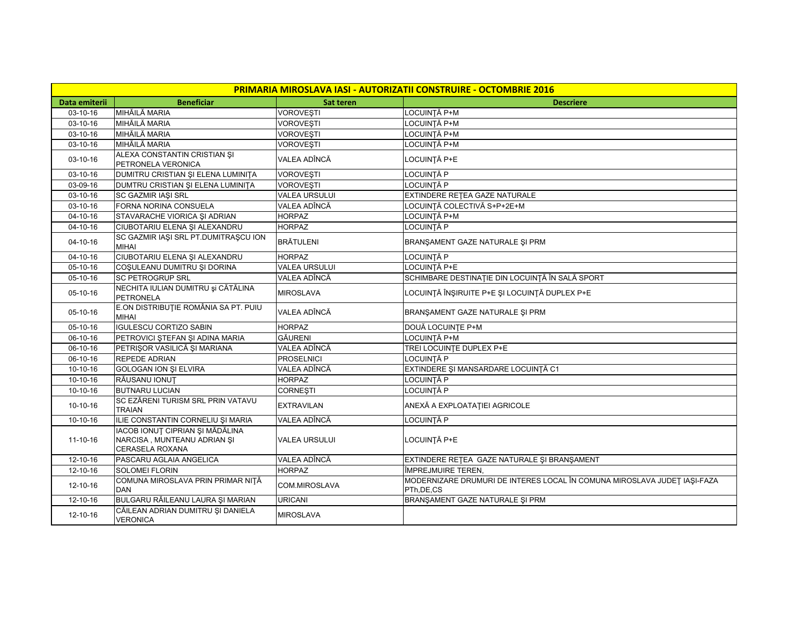| PRIMARIA MIROSLAVA IASI - AUTORIZATII CONSTRUIRE - OCTOMBRIE 2016 |                                                                                   |                      |                                                                                         |  |  |  |  |
|-------------------------------------------------------------------|-----------------------------------------------------------------------------------|----------------------|-----------------------------------------------------------------------------------------|--|--|--|--|
| Data emiterii                                                     | <b>Beneficiar</b>                                                                 | <b>Sat teren</b>     | <b>Descriere</b>                                                                        |  |  |  |  |
| 03-10-16                                                          | MIHĂILĂ MARIA                                                                     | <b>VOROVEŞTI</b>     | LOCUINȚĂ P+M                                                                            |  |  |  |  |
| $03 - 10 - 16$                                                    | MIHĂILĂ MARIA                                                                     | VOROVEȘTI            | LOCUINȚĂ P+M                                                                            |  |  |  |  |
| 03-10-16                                                          | MIHĂILĂ MARIA                                                                     | <b>VOROVESTI</b>     | LOCUINTĂ P+M                                                                            |  |  |  |  |
| 03-10-16                                                          | MIHĂILĂ MARIA                                                                     | <b>VOROVESTI</b>     | LOCUINTĂ P+M                                                                            |  |  |  |  |
| 03-10-16                                                          | ALEXA CONSTANTIN CRISTIAN SI<br>PETRONELA VERONICA                                | VALEA ADÎNCĂ         | LOCUINTĂ P+E                                                                            |  |  |  |  |
| 03-10-16                                                          | DUMITRU CRISTIAN ȘI ELENA LUMINIȚA                                                | <b>VOROVESTI</b>     | LOCUINTĂ P                                                                              |  |  |  |  |
| 03-09-16                                                          | DUMTRU CRISTIAN ȘI ELENA LUMINIȚA                                                 | <b>VOROVEȘTI</b>     | LOCUINTĂ P                                                                              |  |  |  |  |
| 03-10-16                                                          | <b>SC GAZMIR IAŞI SRL</b>                                                         | <b>VALEA URSULUI</b> | EXTINDERE RETEA GAZE NATURALE                                                           |  |  |  |  |
| 03-10-16                                                          | FORNA NORINA CONSUELA                                                             | VALEA ADÎNCĂ         | LOCUINȚĂ COLECTIVĂ S+P+2E+M                                                             |  |  |  |  |
| 04-10-16                                                          | STAVARACHE VIORICA ȘI ADRIAN                                                      | <b>HORPAZ</b>        | LOCUINȚĂ P+M                                                                            |  |  |  |  |
| 04-10-16                                                          | CIUBOTARIU ELENA ȘI ALEXANDRU                                                     | <b>HORPAZ</b>        | LOCUINTĂ P                                                                              |  |  |  |  |
| 04-10-16                                                          | SC GAZMIR IASI SRL PT.DUMITRASCU ION<br><b>MIHAI</b>                              | <b>BRÄTULENI</b>     | BRANŞAMENT GAZE NATURALE ŞI PRM                                                         |  |  |  |  |
| 04-10-16                                                          | CIUBOTARIU ELENA ȘI ALEXANDRU                                                     | <b>HORPAZ</b>        | LOCUINTĂ P                                                                              |  |  |  |  |
| 05-10-16                                                          | COŞULEANU DUMITRU ŞI DORINA                                                       | <b>VALEA URSULUI</b> | LOCUINTĂ P+E                                                                            |  |  |  |  |
| 05-10-16                                                          | <b>SC PETROGRUP SRL</b>                                                           | VALEA ADÎNCĂ         | SCHIMBARE DESTINAȚIE DIN LOCUINȚĂ ÎN SALĂ SPORT                                         |  |  |  |  |
| 05-10-16                                                          | NECHITA IULIAN DUMITRU și CĂTĂLINA<br><b>PETRONELA</b>                            | <b>MIROSLAVA</b>     | LOCUINȚĂ ÎNȘIRUITE P+E ȘI LOCUINȚĂ DUPLEX P+E                                           |  |  |  |  |
| $05-10-16$                                                        | E.ON DISTRIBUȚIE ROMÂNIA SA PT. PUIU<br><b>MIHAI</b>                              | VALEA ADÎNCĂ         | BRANŞAMENT GAZE NATURALE ŞI PRM                                                         |  |  |  |  |
| 05-10-16                                                          | <b>IGULESCU CORTIZO SABIN</b>                                                     | <b>HORPAZ</b>        | <b>DOUĂ LOCUINȚE P+M</b>                                                                |  |  |  |  |
| 06-10-16                                                          | PETROVICI ȘTEFAN ȘI ADINA MARIA                                                   | <b>GÄURENI</b>       | LOCUINTĂ P+M                                                                            |  |  |  |  |
| 06-10-16                                                          | PETRIŞOR VASILICĂ ȘI MARIANA                                                      | VALEA ADÎNCĂ         | TREI LOCUINTE DUPLEX P+E                                                                |  |  |  |  |
| 06-10-16                                                          | <b>REPEDE ADRIAN</b>                                                              | <b>PROSELNICI</b>    | LOCUINTĂ P                                                                              |  |  |  |  |
| 10-10-16                                                          | <b>GOLOGAN ION SI ELVIRA</b>                                                      | VALEA ADÎNCĂ         | EXTINDERE ȘI MANSARDARE LOCUINȚĂ C1                                                     |  |  |  |  |
| 10-10-16                                                          | RĂUSANU IONUT                                                                     | <b>HORPAZ</b>        | LOCUINTĂ P                                                                              |  |  |  |  |
| 10-10-16                                                          | <b>BUTNARU LUCIAN</b>                                                             | <b>CORNESTI</b>      | LOCUINTĂ P                                                                              |  |  |  |  |
| 10-10-16                                                          | SC EZĂRENI TURISM SRL PRIN VATAVU<br><b>TRAIAN</b>                                | <b>EXTRAVILAN</b>    | ANEXĂ A EXPLOATAȚIEI AGRICOLE                                                           |  |  |  |  |
| 10-10-16                                                          | ILIE CONSTANTIN CORNELIU ȘI MARIA                                                 | VALEA ADÎNCĂ         | LOCUINȚĂ P                                                                              |  |  |  |  |
| $11 - 10 - 16$                                                    | IACOB IONUȚ CIPRIAN ȘI MĂDĂLINA<br>NARCISA, MUNTEANU ADRIAN SI<br>CERASELA ROXANA | VALEA URSULUI        | LOCUINTĂ P+E                                                                            |  |  |  |  |
| 12-10-16                                                          | PASCARU AGLAIA ANGELICA                                                           | VALEA ADÎNCĂ         | EXTINDERE RETEA GAZE NATURALE ȘI BRANȘAMENT                                             |  |  |  |  |
| 12-10-16                                                          | <b>SOLOMEI FLORIN</b>                                                             | <b>HORPAZ</b>        | ÎMPREJMUIRE TEREN,                                                                      |  |  |  |  |
| 12-10-16                                                          | COMUNA MIROSLAVA PRIN PRIMAR NIȚĂ<br><b>DAN</b>                                   | COM.MIROSLAVA        | MODERNIZARE DRUMURI DE INTERES LOCAL ÎN COMUNA MIROSLAVA JUDEȚ IAȘI-FAZA<br>PTh, DE, CS |  |  |  |  |
| 12-10-16                                                          | BULGARU RĂILEANU LAURA ȘI MARIAN                                                  | <b>URICANI</b>       | BRANŞAMENT GAZE NATURALE ŞI PRM                                                         |  |  |  |  |
| 12-10-16                                                          | CĂILEAN ADRIAN DUMITRU ȘI DANIELA<br><b>VERONICA</b>                              | MIROSLAVA            |                                                                                         |  |  |  |  |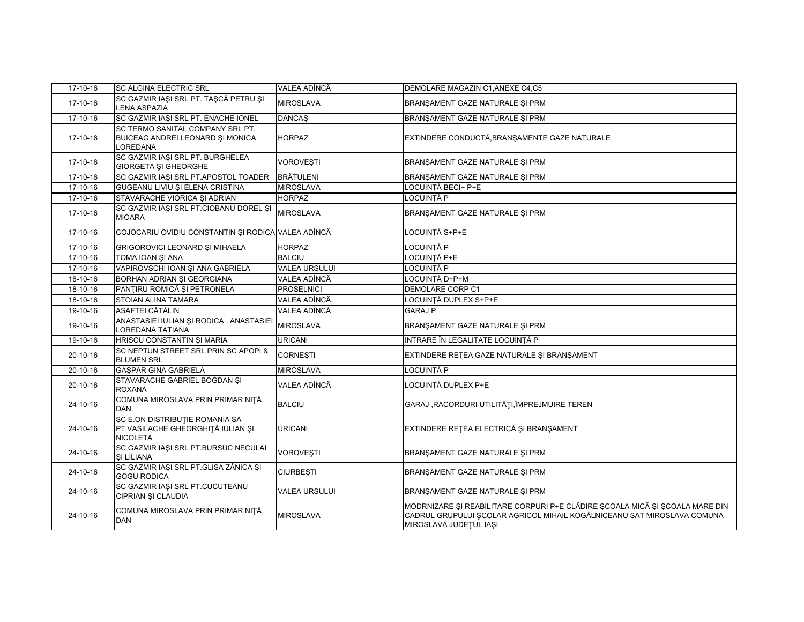| 17-10-16                  | SC ALGINA ELECTRIC SRL                                                                 | VALEA ADÎNCĂ         | DEMOLARE MAGAZIN C1, ANEXE C4, C5                                                                                                                                                 |
|---------------------------|----------------------------------------------------------------------------------------|----------------------|-----------------------------------------------------------------------------------------------------------------------------------------------------------------------------------|
| 17-10-16                  | SC GAZMIR IASI SRL PT. TASCĂ PETRU SI<br>LENA ASPAZIA                                  | <b>MIROSLAVA</b>     | BRANŞAMENT GAZE NATURALE ŞI PRM                                                                                                                                                   |
| 17-10-16                  | SC GAZMIR IAȘI SRL PT. ENACHE IONEL                                                    | <b>DANCAŞ</b>        | BRANŞAMENT GAZE NATURALE ŞI PRM                                                                                                                                                   |
| 17-10-16                  | SC TERMO SANITAL COMPANY SRL PT.<br>BUICEAG ANDREI LEONARD ȘI MONICA<br>LOREDANA       | HORPAZ               | EXTINDERE CONDUCTĂ, BRANȘAMENTE GAZE NATURALE                                                                                                                                     |
| 17-10-16                  | SC GAZMIR IAȘI SRL PT. BURGHELEA<br><b>GIORGETA ȘI GHEORGHE</b>                        | <b>VOROVEȘTI</b>     | BRANŞAMENT GAZE NATURALE ŞI PRM                                                                                                                                                   |
| 17-10-16                  | SC GAZMIR IAŞI SRL PT.APOSTOL TOADER                                                   | <b>BRÄTULENI</b>     | BRANŞAMENT GAZE NATURALE ŞI PRM                                                                                                                                                   |
| 17-10-16                  | GUGEANU LIVIU ȘI ELENA CRISTINA                                                        | <b>MIROSLAVA</b>     | LOCUINTĂ BECI+ P+E                                                                                                                                                                |
| 17-10-16                  | STAVARACHE VIORICA ȘI ADRIAN                                                           | <b>HORPAZ</b>        | LOCUINTĂ P                                                                                                                                                                        |
| 17-10-16                  | SC GAZMIR IAȘI SRL PT.CIOBANU DOREL ȘI<br><b>MIOARA</b>                                | <b>MIROSLAVA</b>     | BRANSAMENT GAZE NATURALE SI PRM                                                                                                                                                   |
| 17-10-16                  | COJOCARIU OVIDIU CONSTANTIN ȘI RODICA VALEA ADÎNCĂ                                     |                      | LOCUINTĂ S+P+E                                                                                                                                                                    |
| 17-10-16                  | GRIGOROVICI LEONARD ȘI MIHAELA                                                         | <b>HORPAZ</b>        | LOCUINTĂ P                                                                                                                                                                        |
| 17-10-16                  | TOMA IOAN ȘI ANA                                                                       | <b>BALCIU</b>        | LOCUINTĂ P+E                                                                                                                                                                      |
| 17-10-16                  | VAPIROVSCHI IOAN ȘI ANA GABRIELA                                                       | <b>VALEA URSULUI</b> | LOCUINTĂ P                                                                                                                                                                        |
| 18-10-16                  | BORHAN ADRIAN ȘI GEORGIANA                                                             | VALEA ADÎNCĂ         | LOCUINȚĂ D+P+M                                                                                                                                                                    |
| 18-10-16                  | PANȚIRU ROMICĂ ȘI PETRONELA                                                            | <b>PROSELNICI</b>    | DEMOLARE CORP C1                                                                                                                                                                  |
| 18-10-16                  | STOIAN ALINA TAMARA                                                                    | VALEA ADÎNCĂ         | LOCUINȚĂ DUPLEX S+P+E                                                                                                                                                             |
| 19-10-16                  | ASAFTEI CĂTĂLIN                                                                        | VALEA ADÎNCĂ         | <b>GARAJ P</b>                                                                                                                                                                    |
| 19-10-16                  | ANASTASIEI IULIAN ȘI RODICA, ANASTASIEI<br>LOREDANA TATIANA                            | <b>MIROSLAVA</b>     | BRANŞAMENT GAZE NATURALE ŞI PRM                                                                                                                                                   |
| $\overline{19} - 10 - 16$ | HRISCU CONSTANTIN ȘI MARIA                                                             | <b>URICANI</b>       | INTRARE ÎN LEGALITATE LOCUINȚĂ P                                                                                                                                                  |
| 20-10-16                  | SC NEPTUN STREET SRL PRIN SC APOPI &<br><b>BLUMEN SRL</b>                              | <b>CORNEȘTI</b>      | EXTINDERE RETEA GAZE NATURALE ȘI BRANȘAMENT                                                                                                                                       |
| 20-10-16                  | GAŞPAR GINA GABRIELA                                                                   | <b>MIROSLAVA</b>     | LOCUINTĂ P                                                                                                                                                                        |
| 20-10-16                  | STAVARACHE GABRIEL BOGDAN SI<br><b>ROXANA</b>                                          | VALEA ADÎNCĂ         | LOCUINȚĂ DUPLEX P+E                                                                                                                                                               |
| 24-10-16                  | COMUNA MIROSLAVA PRIN PRIMAR NITĂ<br><b>DAN</b>                                        | <b>BALCIU</b>        | GARAJ, RACORDURI UTILITĂȚI,ÎMPREJMUIRE TEREN                                                                                                                                      |
| 24-10-16                  | SC E.ON DISTRIBUTIE ROMANIA SA<br>PT.VASILACHE GHEORGHITĂ IULIAN ȘI<br><b>NICOLETA</b> | <b>URICANI</b>       | EXTINDERE REȚEA ELECTRICĂ ȘI BRANȘAMENT                                                                                                                                           |
| 24-10-16                  | SC GAZMIR IAȘI SRL PT.BURSUC NECULAI<br><b>SI LILIANA</b>                              | <b>VOROVESTI</b>     | BRANSAMENT GAZE NATURALE SI PRM                                                                                                                                                   |
| 24-10-16                  | SC GAZMIR IAŞI SRL PT.GLISA ZÂNICA ŞI<br><b>GOGU RODICA</b>                            | <b>CIURBESTI</b>     | BRANŞAMENT GAZE NATURALE ŞI PRM                                                                                                                                                   |
| 24-10-16                  | SC GAZMIR IAȘI SRL PT.CUCUTEANU<br>CIPRIAN ȘI CLAUDIA                                  | <b>VALEA URSULUI</b> | BRANSAMENT GAZE NATURALE SI PRM                                                                                                                                                   |
| 24-10-16                  | COMUNA MIROSLAVA PRIN PRIMAR NITĂ<br><b>DAN</b>                                        | <b>MIROSLAVA</b>     | MODRNIZARE ȘI REABILITARE CORPURI P+E CLĂDIRE ȘCOALA MICĂ ȘI ȘCOALA MARE DIN<br>CADRUL GRUPULUI SCOLAR AGRICOL MIHAIL KOGĂLNICEANU SAT MIROSLAVA COMUNA<br>MIROSLAVA JUDEȚUL IAȘI |